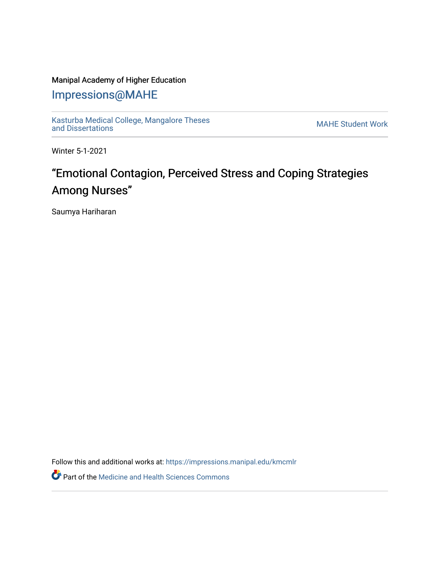### Manipal Academy of Higher Education

## [Impressions@MAHE](https://impressions.manipal.edu/)

[Kasturba Medical College, Mangalore Theses](https://impressions.manipal.edu/kmcmlr) Kasturba Medical College, Mangalore Theses<br>[and Dissertations](https://impressions.manipal.edu/kmcmlr) MAHE Student Work

Winter 5-1-2021

# "Emotional Contagion, Perceived Stress and Coping Strategies Among Nurses"

Saumya Hariharan

Follow this and additional works at: [https://impressions.manipal.edu/kmcmlr](https://impressions.manipal.edu/kmcmlr?utm_source=impressions.manipal.edu%2Fkmcmlr%2F197&utm_medium=PDF&utm_campaign=PDFCoverPages) 

**Part of the Medicine and Health Sciences Commons**